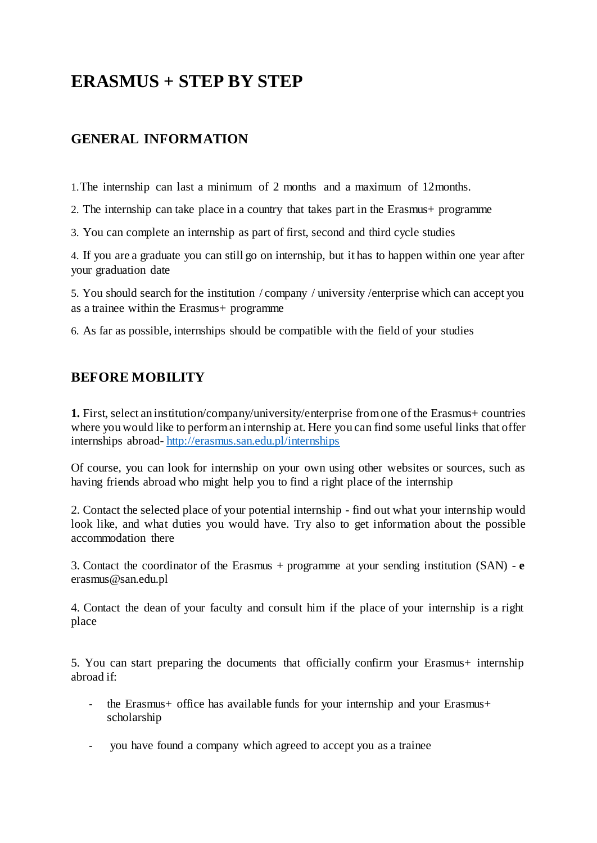# **ERASMUS + STEP BY STEP**

# **GENERAL INFORMATION**

1.The internship can last a minimum of 2 months and a maximum of 12months.

2. The internship can take place in a country that takes part in the Erasmus+ programme

3. You can complete an internship as part of first, second and third cycle studies

4. If you are a graduate you can still go on internship, but it has to happen within one year after your graduation date

5. You should search for the institution / company / university /enterprise which can accept you as a trainee within the Erasmus+ programme

6. As far as possible, internships should be compatible with the field of your studies

### **BEFORE MOBILITY**

**1.** First, select an institution/company/university/enterprise fromone of the Erasmus+ countries where you would like to performan internship at. Here you can find some useful links that offer internships abroad- <http://erasmus.san.edu.pl/internships>

Of course, you can look for internship on your own using other websites or sources, such as having friends abroad who might help you to find a right place of the internship

2. Contact the selected place of your potential internship - find out what your internship would look like, and what duties you would have. Try also to get information about the possible accommodation there

3. Contact the coordinator of the Erasmus + programme at your sending institution (SAN) - **e** [erasmus@san.edu.pl](mailto:erasmus@san.edu.pl)

4. Contact the dean of your faculty and consult him if the place of your internship is a right place

5. You can start preparing the documents that officially confirm your Erasmus+ internship abroad if:

- the Erasmus+ office has available funds for your internship and your Erasmus+ scholarship
- you have found a company which agreed to accept you as a trainee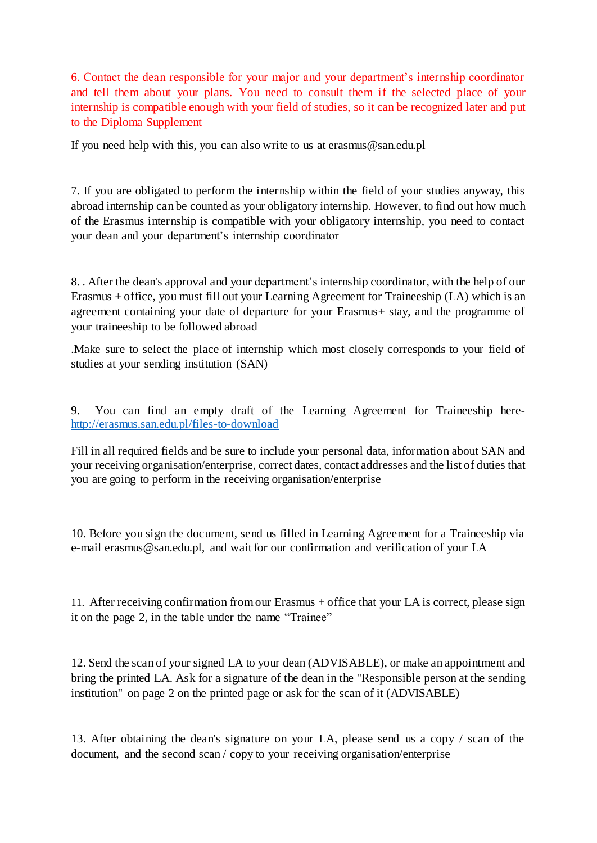6. Contact the dean responsible for your major and your department's internship coordinator and tell them about your plans. You need to consult them if the selected place of your internship is compatible enough with your field of studies, so it can be recognized later and put to the Diploma Supplement

If you need help with this, you can also write to us at [erasmus@san.edu.pl](mailto:erasmus@san.edu.pl)

7. If you are obligated to perform the internship within the field of your studies anyway, this abroad internship can be counted as your obligatory internship. However, to find out how much of the Erasmus internship is compatible with your obligatory internship, you need to contact your dean and your department's internship coordinator

8. . After the dean's approval and your department's internship coordinator, with the help of our Erasmus + office, you must fill out your Learning Agreement for Traineeship (LA) which is an agreement containing your date of departure for your Erasmus+ stay, and the programme of your traineeship to be followed abroad

.Make sure to select the place of internship which most closely corresponds to your field of studies at your sending institution (SAN)

9. You can find an empty draft of the Learning Agreement for Traineeship here<http://erasmus.san.edu.pl/files-to-download>

Fill in all required fields and be sure to include your personal data, information about SAN and your receiving organisation/enterprise, correct dates, contact addresses and the list of duties that you are going to perform in the receiving organisation/enterprise

10. Before you sign the document, send us filled in Learning Agreement for a Traineeship via e-mail [erasmus@san.edu.pl,](mailto:erasmus@san.edu.pl) and wait for our confirmation and verification of your LA

11. After receiving confirmation fromour Erasmus + office that your LA is correct, please sign it on the page 2, in the table under the name "Trainee"

12. Send the scan of your signed LA to your dean (ADVISABLE), or make an appointment and bring the printed LA. Ask for a signature of the dean in the "Responsible person at the sending institution" on page 2 on the printed page or ask for the scan of it (ADVISABLE)

13. After obtaining the dean's signature on your LA, please send us a copy / scan of the document, and the second scan / copy to your receiving organisation/enterprise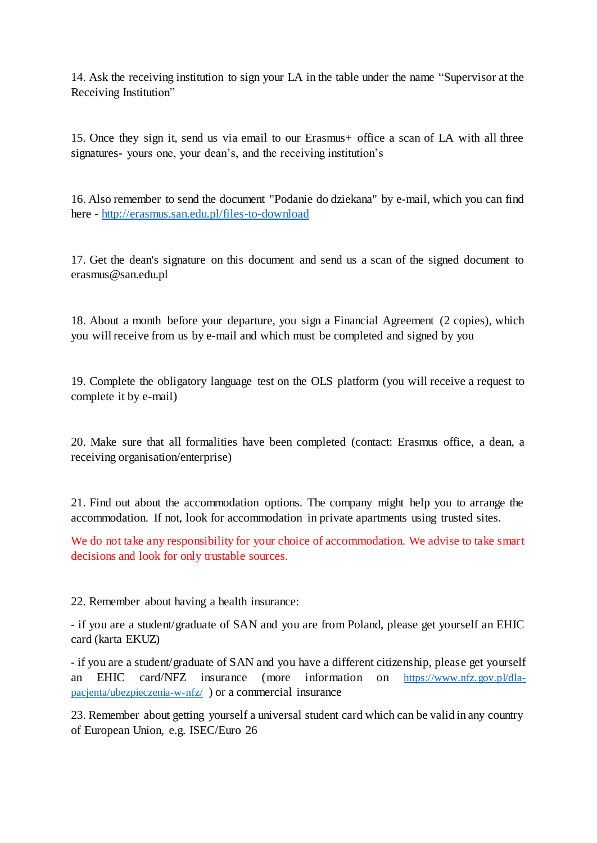14. Ask the receiving institution to sign your LA in the table under the name "Supervisor at the Receiving Institution"

15. Once they sign it, send us via email to our Erasmus+ office a scan of LA with all three signatures- yours one, your dean's, and the receiving institution's

16. Also remember to send the document "Podanie do dziekana" by e-mail, which you can find here - <http://erasmus.san.edu.pl/files-to-download>

17. Get the dean's signature on this document and send us a scan of the signed document to [erasmus@san.edu.pl](mailto:erasmus@san.edu.pl)

18. About a month before your departure, you sign a Financial Agreement (2 copies), which you will receive from us by e-mail and which must be completed and signed by you

19. Complete the obligatory language test on the OLS platform (you will receive a request to complete it by e-mail)

20. Make sure that all formalities have been completed (contact: Erasmus office, a dean, a receiving organisation/enterprise)

21. Find out about the accommodation options. The company might help you to arrange the accommodation. If not, look for accommodation in private apartments using trusted sites.

We do not take any responsibility for your choice of accommodation. We advise to take smart decisions and look for only trustable sources.

22. Remember about having a health insurance:

- if you are a student/graduate of SAN and you are from Poland, please get yourself an EHIC card (karta EKUZ)

- if you are a student/graduate of SAN and you have a different citizenship, please get yourself an EHIC card/NFZ insurance (more information on [https://www.nfz.gov.pl/dla](https://www.nfz.gov.pl/dla-pacjenta/ubezpieczenia-w-nfz/)[pacjenta/ubezpieczenia-w-nfz/](https://www.nfz.gov.pl/dla-pacjenta/ubezpieczenia-w-nfz/) ) or a commercial insurance

23. Remember about getting yourself a universal student card which can be valid in any country of European Union, e.g. ISEC/Euro 26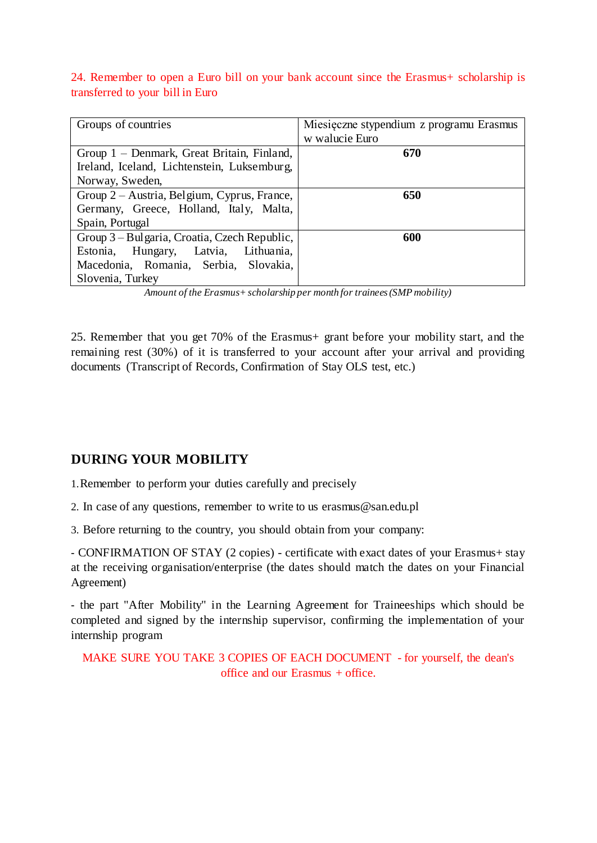#### 24. Remember to open a Euro bill on your bank account since the Erasmus+ scholarship is transferred to your bill in Euro

| Groups of countries                          | Miesięczne stypendium z programu Erasmus |
|----------------------------------------------|------------------------------------------|
|                                              | w walucie Euro                           |
| Group 1 – Denmark, Great Britain, Finland,   | 670                                      |
| Ireland, Iceland, Lichtenstein, Luksemburg,  |                                          |
| Norway, Sweden,                              |                                          |
| Group 2 – Austria, Belgium, Cyprus, France,  | 650                                      |
| Germany, Greece, Holland, Italy, Malta,      |                                          |
| Spain, Portugal                              |                                          |
| Group 3 – Bulgaria, Croatia, Czech Republic, | 600                                      |
| Estonia, Hungary, Latvia, Lithuania,         |                                          |
| Macedonia, Romania, Serbia, Slovakia,        |                                          |
| Slovenia, Turkey                             |                                          |

*Amount of the Erasmus+scholarship per month for trainees(SMP mobility)*

25. Remember that you get 70% of the Erasmus+ grant before your mobility start, and the remaining rest (30%) of it is transferred to your account after your arrival and providing documents (Transcript of Records, Confirmation of Stay OLS test, etc.)

## **DURING YOUR MOBILITY**

1.Remember to perform your duties carefully and precisely

2. In case of any questions, remember to write to us [erasmus@san.edu.pl](mailto:erasmus@san.edu.pl)

3. Before returning to the country, you should obtain from your company:

- CONFIRMATION OF STAY (2 copies) - certificate with exact dates of your Erasmus+ stay at the receiving organisation/enterprise (the dates should match the dates on your Financial Agreement)

- the part "After Mobility" in the Learning Agreement for Traineeships which should be completed and signed by the internship supervisor, confirming the implementation of your internship program

MAKE SURE YOU TAKE 3 COPIES OF EACH DOCUMENT - for yourself, the dean's office and our Erasmus + office.